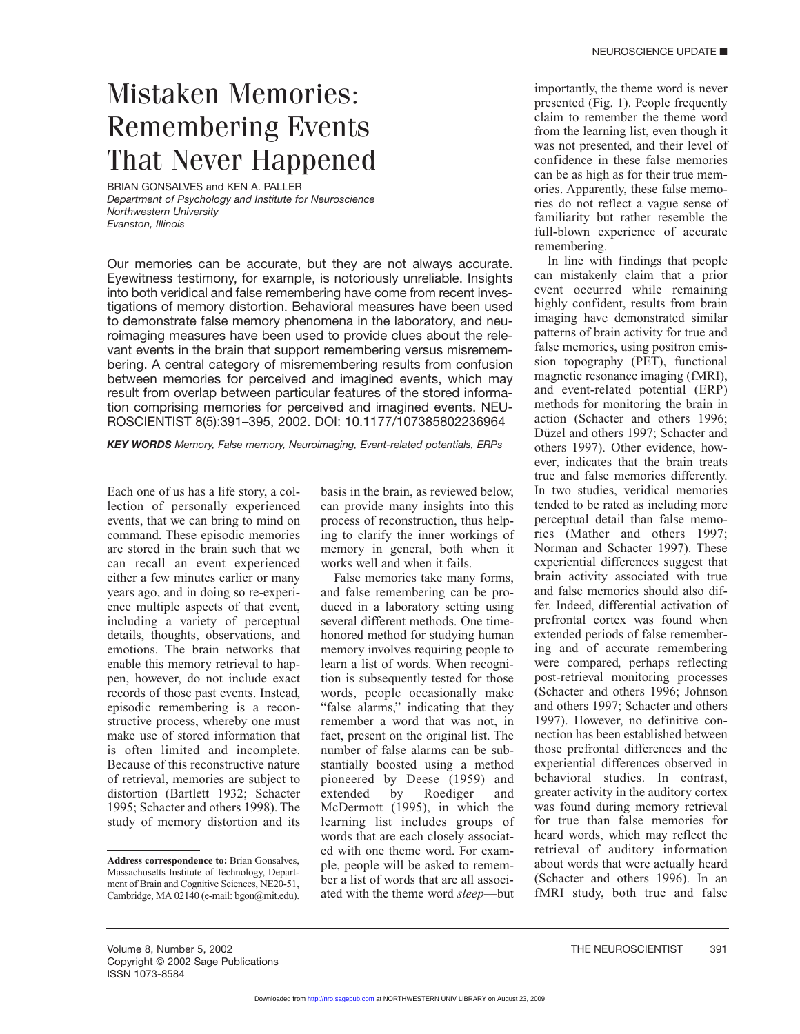## Mistaken Memories: Remembering Events That Never Happened

BRIAN GONSALVES and KEN A. PALLER *Department of Psychology and Institute for Neuroscience Northwestern University Evanston, Illinois*

Our memories can be accurate, but they are not always accurate. Eyewitness testimony, for example, is notoriously unreliable. Insights into both veridical and false remembering have come from recent investigations of memory distortion. Behavioral measures have been used to demonstrate false memory phenomena in the laboratory, and neuroimaging measures have been used to provide clues about the relevant events in the brain that support remembering versus misremembering. A central category of misremembering results from confusion between memories for perceived and imagined events, which may result from overlap between particular features of the stored information comprising memories for perceived and imagined events. NEU-ROSCIENTIST 8(5):391–395, 2002. DOI: 10.1177/107385802236964

*KEY WORDS Memory, False memory, Neuroimaging, Event-related potentials, ERPs*

Each one of us has a life story, a collection of personally experienced events, that we can bring to mind on command. These episodic memories are stored in the brain such that we can recall an event experienced either a few minutes earlier or many years ago, and in doing so re-experience multiple aspects of that event, including a variety of perceptual details, thoughts, observations, and emotions. The brain networks that enable this memory retrieval to happen, however, do not include exact records of those past events. Instead, episodic remembering is a reconstructive process, whereby one must make use of stored information that is often limited and incomplete. Because of this reconstructive nature of retrieval, memories are subject to distortion (Bartlett 1932; Schacter 1995; Schacter and others 1998). The study of memory distortion and its

basis in the brain, as reviewed below, can provide many insights into this process of reconstruction, thus helping to clarify the inner workings of memory in general, both when it works well and when it fails.

False memories take many forms, and false remembering can be produced in a laboratory setting using several different methods. One timehonored method for studying human memory involves requiring people to learn a list of words. When recognition is subsequently tested for those words, people occasionally make "false alarms," indicating that they remember a word that was not, in fact, present on the original list. The number of false alarms can be substantially boosted using a method pioneered by Deese (1959) and extended by Roediger and McDermott (1995), in which the learning list includes groups of words that are each closely associated with one theme word. For example, people will be asked to remember a list of words that are all associated with the theme word *sleep*—but

importantly, the theme word is never presented (Fig. 1). People frequently claim to remember the theme word from the learning list, even though it was not presented, and their level of confidence in these false memories can be as high as for their true memories. Apparently, these false memories do not reflect a vague sense of familiarity but rather resemble the full-blown experience of accurate remembering.

In line with findings that people can mistakenly claim that a prior event occurred while remaining highly confident, results from brain imaging have demonstrated similar patterns of brain activity for true and false memories, using positron emission topography (PET), functional magnetic resonance imaging (fMRI), and event-related potential (ERP) methods for monitoring the brain in action (Schacter and others 1996; Düzel and others 1997; Schacter and others 1997). Other evidence, however, indicates that the brain treats true and false memories differently. In two studies, veridical memories tended to be rated as including more perceptual detail than false memories (Mather and others 1997; Norman and Schacter 1997). These experiential differences suggest that brain activity associated with true and false memories should also differ. Indeed, differential activation of prefrontal cortex was found when extended periods of false remembering and of accurate remembering were compared, perhaps reflecting post-retrieval monitoring processes (Schacter and others 1996; Johnson and others 1997; Schacter and others 1997). However, no definitive connection has been established between those prefrontal differences and the experiential differences observed in behavioral studies. In contrast, greater activity in the auditory cortex was found during memory retrieval for true than false memories for heard words, which may reflect the retrieval of auditory information about words that were actually heard (Schacter and others 1996). In an fMRI study, both true and false

**Address correspondence to:** Brian Gonsalves, Massachusetts Institute of Technology, Department of Brain and Cognitive Sciences, NE20-51, Cambridge, MA 02140 (e-mail: bgon@mit.edu).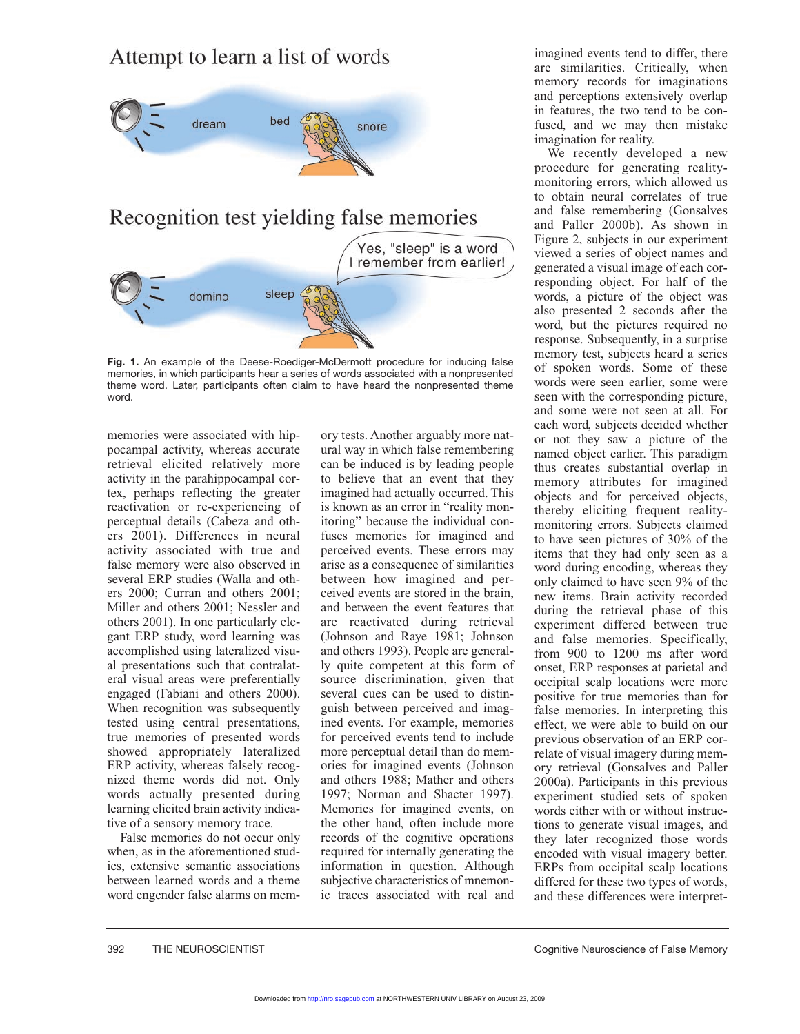## Attempt to learn a list of words



## Recognition test yielding false memories Yes, "sleep" is a word I remember from earlier! sleep domino

**Fig. 1.** An example of the Deese-Roediger-McDermott procedure for inducing false memories, in which participants hear a series of words associated with a nonpresented theme word. Later, participants often claim to have heard the nonpresented theme word.

memories were associated with hippocampal activity, whereas accurate retrieval elicited relatively more activity in the parahippocampal cortex, perhaps reflecting the greater reactivation or re-experiencing of perceptual details (Cabeza and others 2001). Differences in neural activity associated with true and false memory were also observed in several ERP studies (Walla and others 2000; Curran and others 2001; Miller and others 2001; Nessler and others 2001). In one particularly elegant ERP study, word learning was accomplished using lateralized visual presentations such that contralateral visual areas were preferentially engaged (Fabiani and others 2000). When recognition was subsequently tested using central presentations, true memories of presented words showed appropriately lateralized ERP activity, whereas falsely recognized theme words did not. Only words actually presented during learning elicited brain activity indicative of a sensory memory trace.

False memories do not occur only when, as in the aforementioned studies, extensive semantic associations between learned words and a theme word engender false alarms on memory tests. Another arguably more natural way in which false remembering can be induced is by leading people to believe that an event that they imagined had actually occurred. This is known as an error in "reality monitoring" because the individual confuses memories for imagined and perceived events. These errors may arise as a consequence of similarities between how imagined and perceived events are stored in the brain, and between the event features that are reactivated during retrieval (Johnson and Raye 1981; Johnson and others 1993). People are generally quite competent at this form of source discrimination, given that several cues can be used to distinguish between perceived and imagined events. For example, memories for perceived events tend to include more perceptual detail than do memories for imagined events (Johnson and others 1988; Mather and others 1997; Norman and Shacter 1997). Memories for imagined events, on the other hand, often include more records of the cognitive operations required for internally generating the information in question. Although subjective characteristics of mnemonic traces associated with real and

imagined events tend to differ, there are similarities. Critically, when memory records for imaginations and perceptions extensively overlap in features, the two tend to be confused, and we may then mistake imagination for reality.

We recently developed a new procedure for generating realitymonitoring errors, which allowed us to obtain neural correlates of true and false remembering (Gonsalves and Paller 2000b). As shown in Figure 2, subjects in our experiment viewed a series of object names and generated a visual image of each corresponding object. For half of the words, a picture of the object was also presented 2 seconds after the word, but the pictures required no response. Subsequently, in a surprise memory test, subjects heard a series of spoken words. Some of these words were seen earlier, some were seen with the corresponding picture, and some were not seen at all. For each word, subjects decided whether or not they saw a picture of the named object earlier. This paradigm thus creates substantial overlap in memory attributes for imagined objects and for perceived objects, thereby eliciting frequent realitymonitoring errors. Subjects claimed to have seen pictures of 30% of the items that they had only seen as a word during encoding, whereas they only claimed to have seen 9% of the new items. Brain activity recorded during the retrieval phase of this experiment differed between true and false memories. Specifically, from 900 to 1200 ms after word onset, ERP responses at parietal and occipital scalp locations were more positive for true memories than for false memories. In interpreting this effect, we were able to build on our previous observation of an ERP correlate of visual imagery during memory retrieval (Gonsalves and Paller 2000a). Participants in this previous experiment studied sets of spoken words either with or without instructions to generate visual images, and they later recognized those words encoded with visual imagery better. ERPs from occipital scalp locations differed for these two types of words, and these differences were interpret-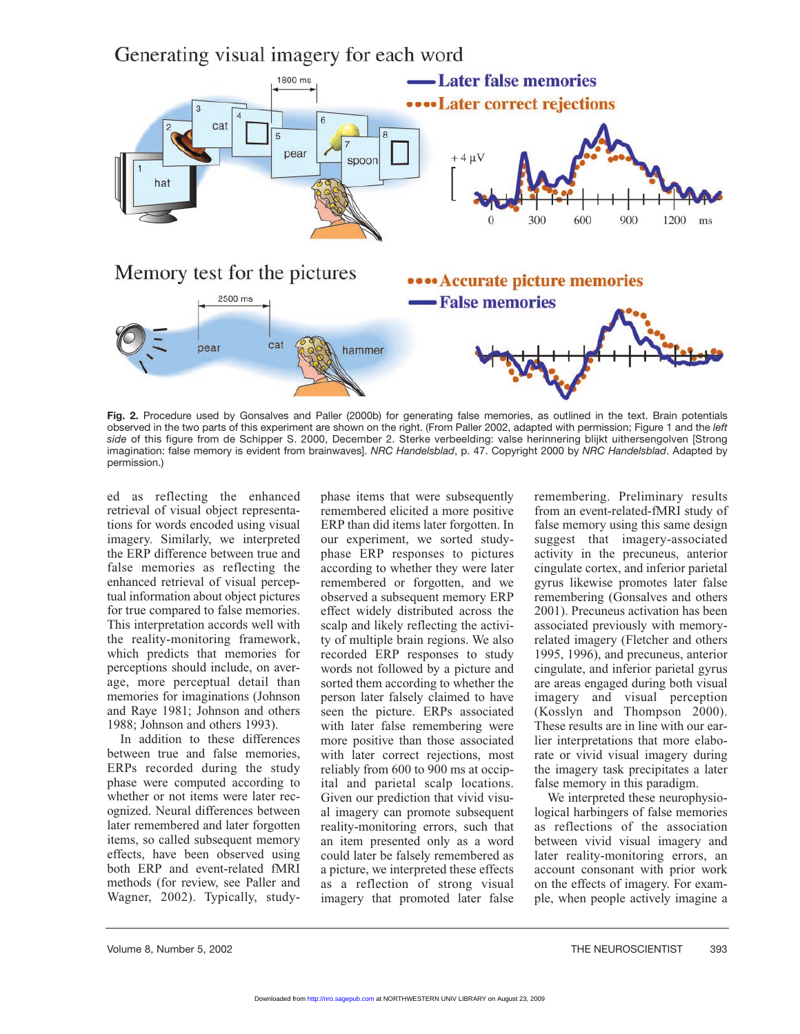



**Fig. 2.** Procedure used by Gonsalves and Paller (2000b) for generating false memories, as outlined in the text. Brain potentials observed in the two parts of this experiment are shown on the right. (From Paller 2002, adapted with permission; Figure 1 and the *left side* of this figure from de Schipper S. 2000, December 2. Sterke verbeelding: valse herinnering blijkt uithersengolven [Strong imagination: false memory is evident from brainwaves]. *NRC Handelsblad*, p. 47. Copyright 2000 by *NRC Handelsblad*. Adapted by permission.)

ed as reflecting the enhanced retrieval of visual object representations for words encoded using visual imagery. Similarly, we interpreted the ERP difference between true and false memories as reflecting the enhanced retrieval of visual perceptual information about object pictures for true compared to false memories. This interpretation accords well with the reality-monitoring framework, which predicts that memories for perceptions should include, on average, more perceptual detail than memories for imaginations (Johnson and Raye 1981; Johnson and others 1988; Johnson and others 1993).

In addition to these differences between true and false memories, ERPs recorded during the study phase were computed according to whether or not items were later recognized. Neural differences between later remembered and later forgotten items, so called subsequent memory effects, have been observed using both ERP and event-related fMRI methods (for review, see Paller and Wagner, 2002). Typically, studyphase items that were subsequently remembered elicited a more positive ERP than did items later forgotten. In our experiment, we sorted studyphase ERP responses to pictures according to whether they were later remembered or forgotten, and we observed a subsequent memory ERP effect widely distributed across the scalp and likely reflecting the activity of multiple brain regions. We also recorded ERP responses to study words not followed by a picture and sorted them according to whether the person later falsely claimed to have seen the picture. ERPs associated with later false remembering were more positive than those associated with later correct rejections, most reliably from 600 to 900 ms at occipital and parietal scalp locations. Given our prediction that vivid visual imagery can promote subsequent reality-monitoring errors, such that an item presented only as a word could later be falsely remembered as a picture, we interpreted these effects as a reflection of strong visual imagery that promoted later false

remembering. Preliminary results from an event-related-fMRI study of false memory using this same design suggest that imagery-associated activity in the precuneus, anterior cingulate cortex, and inferior parietal gyrus likewise promotes later false remembering (Gonsalves and others 2001). Precuneus activation has been associated previously with memoryrelated imagery (Fletcher and others 1995, 1996), and precuneus, anterior cingulate, and inferior parietal gyrus are areas engaged during both visual imagery and visual perception (Kosslyn and Thompson 2000). These results are in line with our earlier interpretations that more elaborate or vivid visual imagery during the imagery task precipitates a later false memory in this paradigm.

We interpreted these neurophysiological harbingers of false memories as reflections of the association between vivid visual imagery and later reality-monitoring errors, an account consonant with prior work on the effects of imagery. For example, when people actively imagine a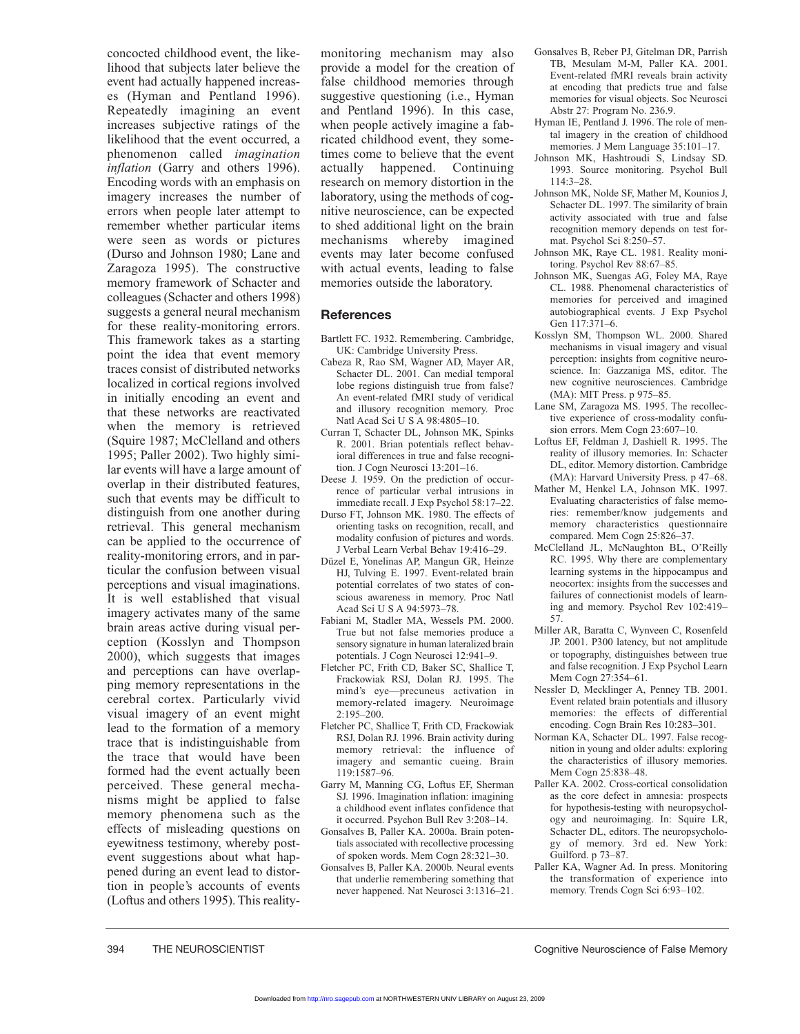concocted childhood event, the likelihood that subjects later believe the event had actually happened increases (Hyman and Pentland 1996). Repeatedly imagining an event increases subjective ratings of the likelihood that the event occurred, a phenomenon called *imagination inflation* (Garry and others 1996). Encoding words with an emphasis on imagery increases the number of errors when people later attempt to remember whether particular items were seen as words or pictures (Durso and Johnson 1980; Lane and Zaragoza 1995). The constructive memory framework of Schacter and colleagues (Schacter and others 1998) suggests a general neural mechanism for these reality-monitoring errors. This framework takes as a starting point the idea that event memory traces consist of distributed networks localized in cortical regions involved in initially encoding an event and that these networks are reactivated when the memory is retrieved (Squire 1987; McClelland and others 1995; Paller 2002). Two highly similar events will have a large amount of overlap in their distributed features, such that events may be difficult to distinguish from one another during retrieval. This general mechanism can be applied to the occurrence of reality-monitoring errors, and in particular the confusion between visual perceptions and visual imaginations. It is well established that visual imagery activates many of the same brain areas active during visual perception (Kosslyn and Thompson 2000), which suggests that images and perceptions can have overlapping memory representations in the cerebral cortex. Particularly vivid visual imagery of an event might lead to the formation of a memory trace that is indistinguishable from the trace that would have been formed had the event actually been perceived. These general mechanisms might be applied to false memory phenomena such as the effects of misleading questions on eyewitness testimony, whereby postevent suggestions about what happened during an event lead to distortion in people's accounts of events (Loftus and others 1995). This realitymonitoring mechanism may also provide a model for the creation of false childhood memories through suggestive questioning (i.e., Hyman and Pentland 1996). In this case, when people actively imagine a fabricated childhood event, they sometimes come to believe that the event actually happened. Continuing research on memory distortion in the laboratory, using the methods of cognitive neuroscience, can be expected to shed additional light on the brain mechanisms whereby imagined events may later become confused with actual events, leading to false memories outside the laboratory.

## **References**

- Bartlett FC. 1932. Remembering. Cambridge, UK: Cambridge University Press.
- Cabeza R, Rao SM, Wagner AD, Mayer AR, Schacter DL. 2001. Can medial temporal lobe regions distinguish true from false? An event-related fMRI study of veridical and illusory recognition memory. Proc Natl Acad Sci U S A 98:4805–10.
- Curran T, Schacter DL, Johnson MK, Spinks R. 2001. Brian potentials reflect behavioral differences in true and false recognition. J Cogn Neurosci 13:201–16.
- Deese J. 1959. On the prediction of occurrence of particular verbal intrusions in immediate recall. J Exp Psychol 58:17–22.
- Durso FT, Johnson MK. 1980. The effects of orienting tasks on recognition, recall, and modality confusion of pictures and words. J Verbal Learn Verbal Behav 19:416–29.
- Düzel E, Yonelinas AP, Mangun GR, Heinze HJ, Tulving E. 1997. Event-related brain potential correlates of two states of conscious awareness in memory. Proc Natl Acad Sci U S A 94:5973–78.
- Fabiani M, Stadler MA, Wessels PM. 2000. True but not false memories produce a sensory signature in human lateralized brain potentials. J Cogn Neurosci 12:941–9.
- Fletcher PC, Frith CD, Baker SC, Shallice T, Frackowiak RSJ, Dolan RJ. 1995. The mind's eye—precuneus activation in memory-related imagery. Neuroimage 2:195–200.
- Fletcher PC, Shallice T, Frith CD, Frackowiak RSJ, Dolan RJ. 1996. Brain activity during memory retrieval: the influence of imagery and semantic cueing. Brain 119:1587–96.
- Garry M, Manning CG, Loftus EF, Sherman SJ. 1996. Imagination inflation: imagining a childhood event inflates confidence that it occurred. Psychon Bull Rev 3:208–14.
- Gonsalves B, Paller KA. 2000a. Brain potentials associated with recollective processing of spoken words. Mem Cogn 28:321–30.
- Gonsalves B, Paller KA. 2000b. Neural events that underlie remembering something that never happened. Nat Neurosci 3:1316–21.
- Gonsalves B, Reber PJ, Gitelman DR, Parrish TB, Mesulam M-M, Paller KA. 2001. Event-related fMRI reveals brain activity at encoding that predicts true and false memories for visual objects. Soc Neurosci Abstr 27: Program No. 236.9.
- Hyman IE, Pentland J. 1996. The role of mental imagery in the creation of childhood memories. J Mem Language 35:101–17.
- Johnson MK, Hashtroudi S, Lindsay SD. 1993. Source monitoring. Psychol Bull 114:3–28.
- Johnson MK, Nolde SF, Mather M, Kounios J, Schacter DL. 1997. The similarity of brain activity associated with true and false recognition memory depends on test format. Psychol Sci 8:250–57.
- Johnson MK, Raye CL. 1981. Reality monitoring. Psychol Rev 88:67–85.
- Johnson MK, Suengas AG, Foley MA, Raye CL. 1988. Phenomenal characteristics of memories for perceived and imagined autobiographical events. J Exp Psychol Gen 117:371–6.
- Kosslyn SM, Thompson WL. 2000. Shared mechanisms in visual imagery and visual perception: insights from cognitive neuroscience. In: Gazzaniga MS, editor. The new cognitive neurosciences. Cambridge (MA): MIT Press. p 975–85.
- Lane SM, Zaragoza MS. 1995. The recollective experience of cross-modality confusion errors. Mem Cogn 23:607–10.
- Loftus EF, Feldman J, Dashiell R. 1995. The reality of illusory memories. In: Schacter DL, editor. Memory distortion. Cambridge (MA): Harvard University Press. p 47–68.
- Mather M, Henkel LA, Johnson MK. 1997. Evaluating characteristics of false memories: remember/know judgements and memory characteristics questionnaire compared. Mem Cogn 25:826–37.
- McClelland JL, McNaughton BL, O'Reilly RC. 1995. Why there are complementary learning systems in the hippocampus and neocortex: insights from the successes and failures of connectionist models of learning and memory. Psychol Rev 102:419– 57.
- Miller AR, Baratta C, Wynveen C, Rosenfeld JP. 2001. P300 latency, but not amplitude or topography, distinguishes between true and false recognition. J Exp Psychol Learn Mem Cogn 27:354–61.
- Nessler D, Mecklinger A, Penney TB. 2001. Event related brain potentials and illusory memories: the effects of differential encoding. Cogn Brain Res 10:283–301.
- Norman KA, Schacter DL. 1997. False recognition in young and older adults: exploring the characteristics of illusory memories. Mem Cogn 25:838–48.
- Paller KA. 2002. Cross-cortical consolidation as the core defect in amnesia: prospects for hypothesis-testing with neuropsychology and neuroimaging. In: Squire LR, Schacter DL, editors. The neuropsychology of memory. 3rd ed. New York: Guilford. p 73–87.
- Paller KA, Wagner Ad. In press. Monitoring the transformation of experience into memory. Trends Cogn Sci 6:93–102.